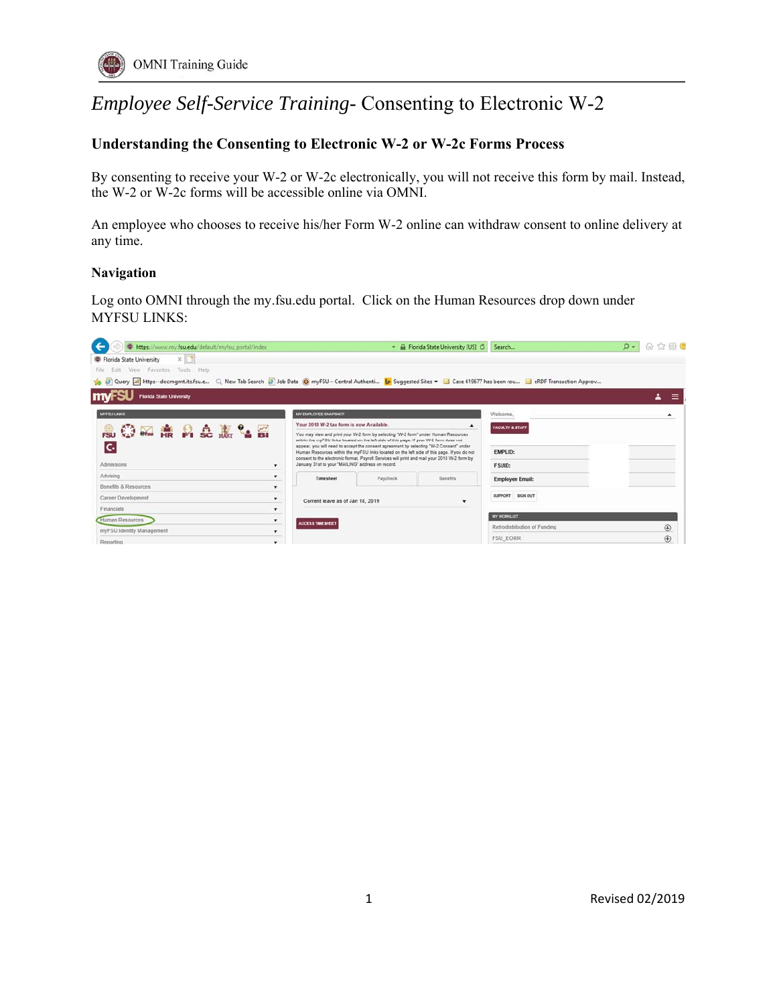# *Employee Self-Service Training*- Consenting to Electronic W-2

## **Understanding the Consenting to Electronic W-2 or W-2c Forms Process**

By consenting to receive your W-2 or W-2c electronically, you will not receive this form by mail. Instead, the W-2 or W-2c forms will be accessible online via OMNI.

An employee who chooses to receive his/her Form W-2 online can withdraw consent to online delivery at any time.

#### **Navigation**

Log onto OMNI through the my.fsu.edu portal. Click on the Human Resources drop down under MYFSU LINKS:

| https://www.my.fsu.edu/default/myfsu_portal/index                                                                                                                                     | - A Florida State University [US] C                                                                                                                                                                                                                                                                                                        |          |                              | Search                 | $\Omega$ - | 命会员                                  |
|---------------------------------------------------------------------------------------------------------------------------------------------------------------------------------------|--------------------------------------------------------------------------------------------------------------------------------------------------------------------------------------------------------------------------------------------------------------------------------------------------------------------------------------------|----------|------------------------------|------------------------|------------|--------------------------------------|
| $\times 1$<br>Florida State University                                                                                                                                                |                                                                                                                                                                                                                                                                                                                                            |          |                              |                        |            |                                      |
| Edit View Favorites Tools Help<br>File                                                                                                                                                |                                                                                                                                                                                                                                                                                                                                            |          |                              |                        |            |                                      |
| Case 619677 has been rou al eRDF Transaction Approv Q. New Tab Search 2 Job Data @ myFSU - Central Authenti b Suggested Sites v & Case 619677 has been rou al eRDF Transaction Approv |                                                                                                                                                                                                                                                                                                                                            |          |                              |                        |            |                                      |
| <b>Florida State University</b>                                                                                                                                                       |                                                                                                                                                                                                                                                                                                                                            |          |                              |                        |            | $\overline{\phantom{a}}$<br>$\equiv$ |
| <b>MYFSULINKS</b>                                                                                                                                                                     | MY EMPLOYEE SNAPSHOT                                                                                                                                                                                                                                                                                                                       |          |                              | Welcome,               |            |                                      |
| <b>AOMARALLE</b>                                                                                                                                                                      | Your 2018 W-2 tax form is now Available.                                                                                                                                                                                                                                                                                                   |          | <b>FACULTY &amp; STAFF</b>   |                        |            |                                      |
| You may view and print your W-2 form by selecting "W-2 form" under Human Resources<br>within the myf'SU links located on the left side of this page. If your W-2 form does not        |                                                                                                                                                                                                                                                                                                                                            |          |                              |                        |            |                                      |
| c.                                                                                                                                                                                    | appear, you will need to accept the consent agreement by selecting "W-2 Consent" under<br>Human Resources within the myFSU links located on the left side of this page. If you do not<br>consent to the electronic format, Payroll Services will print and mail your 2018 W-2 form by<br>January 31st to your "MAILING" address on record. |          | <b>EMPLID:</b>               |                        |            |                                      |
| Admissions<br>$\bullet$                                                                                                                                                               |                                                                                                                                                                                                                                                                                                                                            |          | <b>FSUID:</b>                |                        |            |                                      |
| Advising                                                                                                                                                                              | Timesheet                                                                                                                                                                                                                                                                                                                                  | Paycheck | Benefits                     | <b>Employee Email:</b> |            |                                      |
| Benefits & Resources<br>۰                                                                                                                                                             |                                                                                                                                                                                                                                                                                                                                            |          |                              |                        |            |                                      |
| Career Development<br>۰                                                                                                                                                               | Current leave as of Jan 18, 2019                                                                                                                                                                                                                                                                                                           |          | <b>SUPPORT SIGN OUT</b>      |                        |            |                                      |
| Financials<br>$\mathbf{v}$                                                                                                                                                            |                                                                                                                                                                                                                                                                                                                                            |          |                              |                        |            |                                      |
| Human Resources<br>$\bullet$                                                                                                                                                          | <b>ACCESS TIME SHEET</b>                                                                                                                                                                                                                                                                                                                   |          |                              | MY WORKLIST            |            |                                      |
| myFSU Identity Management<br>۰                                                                                                                                                        |                                                                                                                                                                                                                                                                                                                                            |          | Retrodistribution of Funding |                        | $\oplus$   |                                      |
| Reporting                                                                                                                                                                             |                                                                                                                                                                                                                                                                                                                                            |          |                              | <b>FSU EORR</b>        |            | $\bigoplus$                          |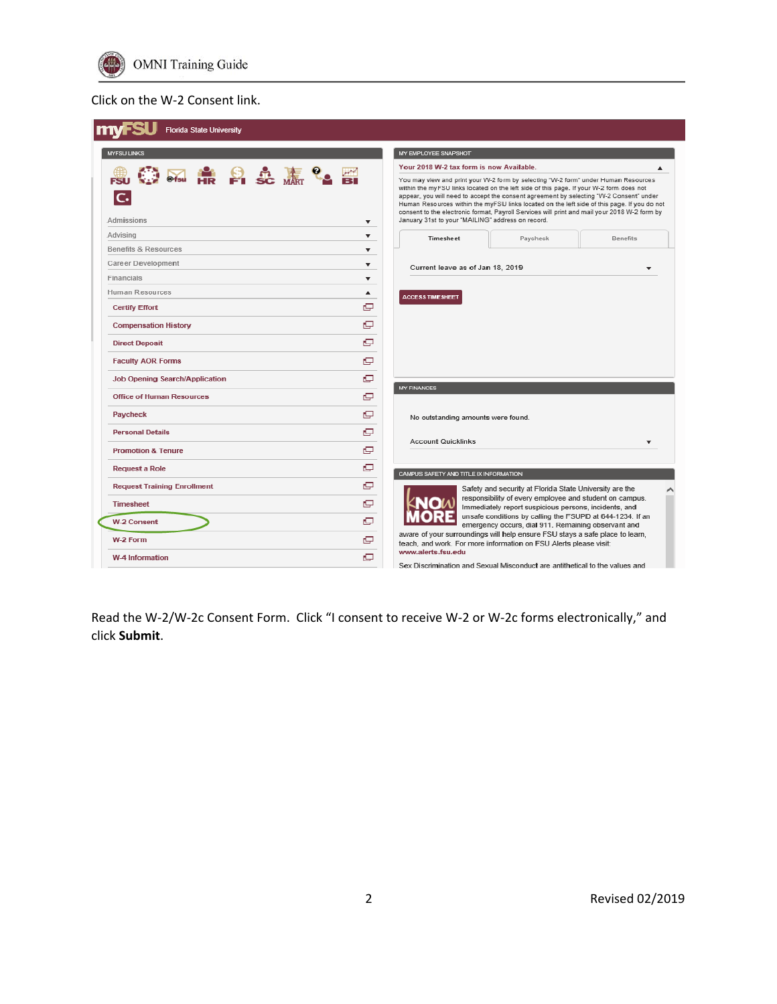

### Click on the W‐2 Consent link.

| <b>Florida State University</b>       |                                                                                                                                                                                                                                                                                                                                                                                                                                                                                                                                                        |
|---------------------------------------|--------------------------------------------------------------------------------------------------------------------------------------------------------------------------------------------------------------------------------------------------------------------------------------------------------------------------------------------------------------------------------------------------------------------------------------------------------------------------------------------------------------------------------------------------------|
| <b>MYFSU LINKS</b>                    | MY EMPLOYEE SNAPSHOT                                                                                                                                                                                                                                                                                                                                                                                                                                                                                                                                   |
|                                       | Your 2018 W-2 tax form is now Available.<br>▲                                                                                                                                                                                                                                                                                                                                                                                                                                                                                                          |
| <b>第五条 日史表生</b><br>c.<br>Admissions   | You may view and print your W-2 form by selecting "W-2 form" under Human Resources<br>within the myFSU links located on the left side of this page. If your W-2 form does not<br>appear, you will need to accept the consent agreement by selecting "W-2 Consent" under<br>Human Resources within the myFSU links located on the left side of this page. If you do not<br>consent to the electronic format, Payroll Services will print and mail your 2018 W-2 form by<br>January 31st to your "MAILING" address on record.<br>$\overline{\mathbf{v}}$ |
| Advising                              | $\overline{\phantom{a}}$<br>Timesheet<br>Paycheck<br>Benefits                                                                                                                                                                                                                                                                                                                                                                                                                                                                                          |
| <b>Benefits &amp; Resources</b>       | $\overline{\phantom{a}}$                                                                                                                                                                                                                                                                                                                                                                                                                                                                                                                               |
| Career Development                    | ▼<br>Current leave as of Jan 18, 2019<br>$\overline{\phantom{a}}$                                                                                                                                                                                                                                                                                                                                                                                                                                                                                      |
| Financials                            | ▼                                                                                                                                                                                                                                                                                                                                                                                                                                                                                                                                                      |
| Human Resources                       | $\blacktriangle$<br><b>ACCESS TIME SHEET</b>                                                                                                                                                                                                                                                                                                                                                                                                                                                                                                           |
| <b>Certify Effort</b>                 | e                                                                                                                                                                                                                                                                                                                                                                                                                                                                                                                                                      |
| <b>Compensation History</b>           | c                                                                                                                                                                                                                                                                                                                                                                                                                                                                                                                                                      |
| <b>Direct Deposit</b>                 | c                                                                                                                                                                                                                                                                                                                                                                                                                                                                                                                                                      |
| <b>Faculty AOR Forms</b>              | c                                                                                                                                                                                                                                                                                                                                                                                                                                                                                                                                                      |
| <b>Job Opening Search/Application</b> | e                                                                                                                                                                                                                                                                                                                                                                                                                                                                                                                                                      |
| <b>Office of Human Resources</b>      | <b>MY FINANCES</b><br>c                                                                                                                                                                                                                                                                                                                                                                                                                                                                                                                                |
| Paycheck                              | c<br>No outstanding amounts were found.                                                                                                                                                                                                                                                                                                                                                                                                                                                                                                                |
| <b>Personal Details</b>               | c                                                                                                                                                                                                                                                                                                                                                                                                                                                                                                                                                      |
| <b>Promotion &amp; Tenure</b>         | <b>Account Quicklinks</b><br>$\overline{\phantom{a}}$<br>c                                                                                                                                                                                                                                                                                                                                                                                                                                                                                             |
| <b>Request a Role</b>                 | c<br>CAMPUS SAFETY AND TITLE IX INFORMATION                                                                                                                                                                                                                                                                                                                                                                                                                                                                                                            |
| <b>Request Training Enrollment</b>    | c<br>Safety and security at Florida State University are the                                                                                                                                                                                                                                                                                                                                                                                                                                                                                           |
| <b>Timesheet</b>                      | responsibility of every employee and student on campus.<br>r,<br>Immediately report suspicious persons, incidents, and                                                                                                                                                                                                                                                                                                                                                                                                                                 |
| <b>W-2 Consent</b>                    | unsafe conditions by calling the FSUPD at 644-1234. If an<br>c<br>emergency occurs, dial 911. Remaining observant and                                                                                                                                                                                                                                                                                                                                                                                                                                  |
| W-2 Form                              | aware of your surroundings will help ensure FSU stays a safe place to learn,<br>c<br>teach, and work. For more information on FSU Alerts please visit:                                                                                                                                                                                                                                                                                                                                                                                                 |
| W-4 Information                       | www.alerts.fsu.edu<br>c<br>Sex Discrimination and Sexual Misconduct are antithetical to the values and                                                                                                                                                                                                                                                                                                                                                                                                                                                 |

Read the W-2/W-2c Consent Form. Click "I consent to receive W-2 or W-2c forms electronically," and click **Submit**.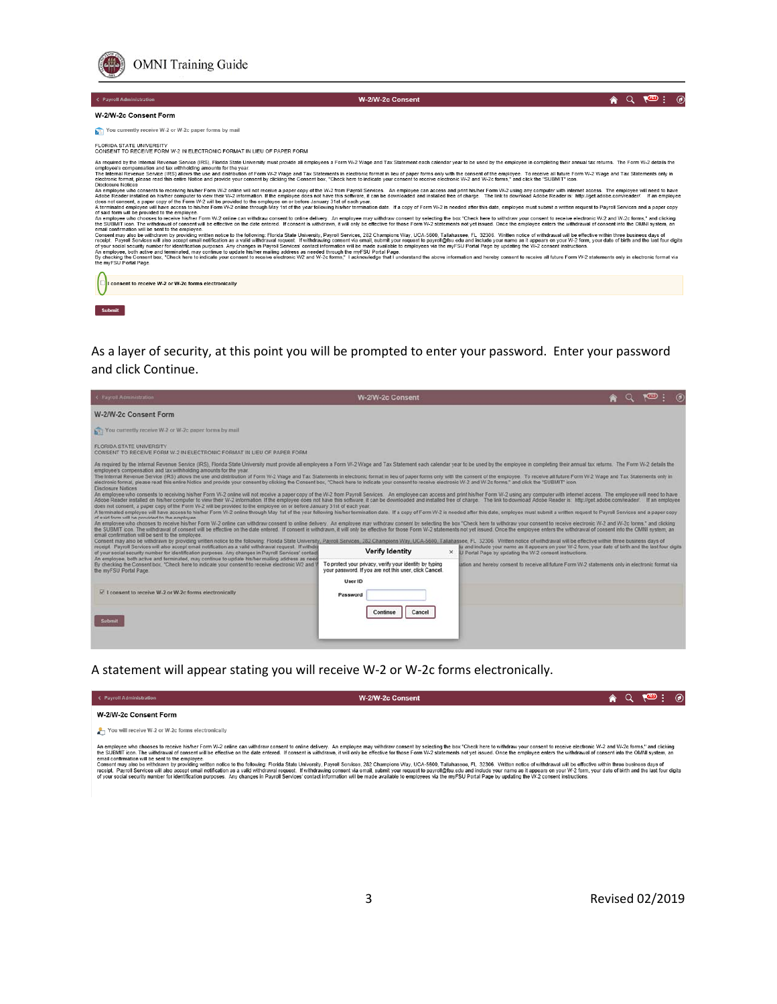

#### W-2/W-2c Consent

 $\land$  Q  $\overline{\land}$  :  $\circ$ 

#### W-2/W-2c Consent Form

You currently receive W-2 or W-2c paper forms by mail

FLORIDA STATE UNIVERSITY<br>CONSENT TO RECEIVE FORM W-2 IN ELECTRONIC FORMAT IN LIEU OF PAPER FORM

CONSENT TO RECEIVE FORM W-2. IN ELECTRONIC FORMAT IN LIEU OF PAPER FORM<br>As required by the Internal Reviewe Ascribe (IRS), Florids State Units (IRS), Final State Units (IRS), Florids State Units (IRS), Florids State Units

email confirmation will be sent to the employee.<br>The sense of the employee the sense of the conservation of the sense of the sense of the sense of the employee and the employee enters the withdrawal of consent into the OMN

 $\left[\begin{smallmatrix}\Box\cr\end{smallmatrix}\right]$ I consent to receive W-2 or W-2c forms electronically



As a layer of security, at this point you will be prompted to enter your password. Enter your password and click Continue.

| C Payroll Administration                                                                                                                                                                                                                                                                                                                                                                                                                                                                                                                                                                                                                                                                                                                                                                                                                                                                                                                                                                                                                                                                                                                                                                                                                                                                                                                                                                                                                                                                                                                                                                                                                                                                                                                                                                                                                                                                                                                                                                                                                                                                                                                                                                                                                                                                                                                                                                                                                                                                                                                                                                                                                                 | <b>W-2/W-2c Consent</b>                                                                                                      |                                                                                                                                                                   | $\sqrt{15}$ |
|----------------------------------------------------------------------------------------------------------------------------------------------------------------------------------------------------------------------------------------------------------------------------------------------------------------------------------------------------------------------------------------------------------------------------------------------------------------------------------------------------------------------------------------------------------------------------------------------------------------------------------------------------------------------------------------------------------------------------------------------------------------------------------------------------------------------------------------------------------------------------------------------------------------------------------------------------------------------------------------------------------------------------------------------------------------------------------------------------------------------------------------------------------------------------------------------------------------------------------------------------------------------------------------------------------------------------------------------------------------------------------------------------------------------------------------------------------------------------------------------------------------------------------------------------------------------------------------------------------------------------------------------------------------------------------------------------------------------------------------------------------------------------------------------------------------------------------------------------------------------------------------------------------------------------------------------------------------------------------------------------------------------------------------------------------------------------------------------------------------------------------------------------------------------------------------------------------------------------------------------------------------------------------------------------------------------------------------------------------------------------------------------------------------------------------------------------------------------------------------------------------------------------------------------------------------------------------------------------------------------------------------------------------|------------------------------------------------------------------------------------------------------------------------------|-------------------------------------------------------------------------------------------------------------------------------------------------------------------|-------------|
| W-2/W-2c Consent Form                                                                                                                                                                                                                                                                                                                                                                                                                                                                                                                                                                                                                                                                                                                                                                                                                                                                                                                                                                                                                                                                                                                                                                                                                                                                                                                                                                                                                                                                                                                                                                                                                                                                                                                                                                                                                                                                                                                                                                                                                                                                                                                                                                                                                                                                                                                                                                                                                                                                                                                                                                                                                                    |                                                                                                                              |                                                                                                                                                                   |             |
| Tou currently receive W-2 or W-2c paper forms by mail                                                                                                                                                                                                                                                                                                                                                                                                                                                                                                                                                                                                                                                                                                                                                                                                                                                                                                                                                                                                                                                                                                                                                                                                                                                                                                                                                                                                                                                                                                                                                                                                                                                                                                                                                                                                                                                                                                                                                                                                                                                                                                                                                                                                                                                                                                                                                                                                                                                                                                                                                                                                    |                                                                                                                              |                                                                                                                                                                   |             |
| <b>FLORIDA STATE UNIVERSITY</b><br>CONSENT TO RECEIVE FORM W-2 IN ELECTRONIC FORMAT IN LIEU OF PAPER FORM                                                                                                                                                                                                                                                                                                                                                                                                                                                                                                                                                                                                                                                                                                                                                                                                                                                                                                                                                                                                                                                                                                                                                                                                                                                                                                                                                                                                                                                                                                                                                                                                                                                                                                                                                                                                                                                                                                                                                                                                                                                                                                                                                                                                                                                                                                                                                                                                                                                                                                                                                |                                                                                                                              |                                                                                                                                                                   |             |
| As required by the Internal Revenue Service (IRS), Florida State University must provide all employees a Form W-2 Wage and Tax Statement each calendar year to be used by the employee in completing their annual tax returns.<br>employee's compensation and tax withholding amounts for the year.<br>The Internal Revenue Service (IRS) allows the use and distribution of Form W-2 Wage and Tax Statements in electronic format in lieu of paper forms only with the consent of the employee. To receive all future Form W-2 Wage<br>electronic format, please read this entire Notice and provide your consent by clicking the Consent box, "Check here to indicate your consent to receive electronic W-2 and W-2c forms," and click the "SUBMIT" icon.<br><b>Disclosure Notices</b><br>An employee who consents to receiving his/her Form W-2 online will not receive a paper copy of the W-2 from Payroll Services. An employee can access and print his/her Form W-2 using any computer with internet access. The e<br>Adobe Reader installed on his/her computer to view their W-2 information. If the employee does not have this software, it can be downloaded and installed free of charge. The link to download Adobe Reader is. http://get.ado<br>does not consent, a paper copy of the Form W-2 will be provided to the employee on or before January 31st of each year.<br>A terminated employee will have access to his/her Form W-2 online through May 1st of the year following his/her termination date. If a copy of Form W-2 is needed after this date, employee must submit a written request to P<br>of said form will be provided to the employee.<br>An employee who chooses to receive his/her Form W-2 online can withdraw consent to online delivery. An employee may withdraw consent by selecting the box "Check here to withdraw your consent of receive electronic W-2 and W<br>the SUBMIT icon. The withdrawal of consent will be effective on the date entered. If consent is withdrawn. it will only be effective for those Form W-2 statements not yet issued. Once the employee enters the withdrawal of<br>email confirmation will be sent to the employee.<br>Consent may also be withdrawn by providing written notice to the following: Florida State University, Payroll Services, 282 Champions Way, UCA-5600, Tallahassee, FL 32306: Written notice of withdrawal will be effective wit<br>receipt. Payroll Services will also accept email notification as a valid withdrawal request. If withdra<br>of your social security number for identification purposes. Any changes in Payroll Services' contact | <b>Verify Identity</b>                                                                                                       | fu and include your name as it appears on your W-2 form, your date of birth and the last four digits<br>X U Portal Page by updating the W-2 consent instructions. |             |
| An employee, both active and terminated, may continue to update his/her mailing address as need<br>By checking the Consent box, "Check here to indicate your consent to receive electronic W2 and I<br>the myFSU Portal Page.                                                                                                                                                                                                                                                                                                                                                                                                                                                                                                                                                                                                                                                                                                                                                                                                                                                                                                                                                                                                                                                                                                                                                                                                                                                                                                                                                                                                                                                                                                                                                                                                                                                                                                                                                                                                                                                                                                                                                                                                                                                                                                                                                                                                                                                                                                                                                                                                                            | To protect your privacy, verify your identity by typing<br>your password. If you are not this user, click Cancel.<br>User ID | lation and hereby consent to receive all future Form W-2 statements only in electronic format via                                                                 |             |
| <b>In I consent to receive W-2 or W-2c forms electronically</b>                                                                                                                                                                                                                                                                                                                                                                                                                                                                                                                                                                                                                                                                                                                                                                                                                                                                                                                                                                                                                                                                                                                                                                                                                                                                                                                                                                                                                                                                                                                                                                                                                                                                                                                                                                                                                                                                                                                                                                                                                                                                                                                                                                                                                                                                                                                                                                                                                                                                                                                                                                                          | Password                                                                                                                     |                                                                                                                                                                   |             |
| <b>Submit</b>                                                                                                                                                                                                                                                                                                                                                                                                                                                                                                                                                                                                                                                                                                                                                                                                                                                                                                                                                                                                                                                                                                                                                                                                                                                                                                                                                                                                                                                                                                                                                                                                                                                                                                                                                                                                                                                                                                                                                                                                                                                                                                                                                                                                                                                                                                                                                                                                                                                                                                                                                                                                                                            | Continue<br>Cancel                                                                                                           |                                                                                                                                                                   |             |

A statement will appear stating you will receive W-2 or W-2c forms electronically.

| $\leq$ Payroll Administration                                                                                                                                                                                                                                                                                                                                                                                                                                                                                                                                                                                                                                                                                                                                                                                                                                                                                                                                                                                                                                                                                                                                                                                       | W-2/W-2c Consent |  | AQ ROD |  |
|---------------------------------------------------------------------------------------------------------------------------------------------------------------------------------------------------------------------------------------------------------------------------------------------------------------------------------------------------------------------------------------------------------------------------------------------------------------------------------------------------------------------------------------------------------------------------------------------------------------------------------------------------------------------------------------------------------------------------------------------------------------------------------------------------------------------------------------------------------------------------------------------------------------------------------------------------------------------------------------------------------------------------------------------------------------------------------------------------------------------------------------------------------------------------------------------------------------------|------------------|--|--------|--|
| W-2/W-2c Consent Form                                                                                                                                                                                                                                                                                                                                                                                                                                                                                                                                                                                                                                                                                                                                                                                                                                                                                                                                                                                                                                                                                                                                                                                               |                  |  |        |  |
| $\leftarrow$ You will receive W-2 or W-2c forms electronically                                                                                                                                                                                                                                                                                                                                                                                                                                                                                                                                                                                                                                                                                                                                                                                                                                                                                                                                                                                                                                                                                                                                                      |                  |  |        |  |
| An employee who chooses to receive his/her Form W-2 online can withdraw consent to online delivery. An employee may withdraw consent by selecting the box "Check here to withdraw your consent to receive electronic W-2 and W<br>the SUBMIT icon. The withdrawal of consent will be effective on the date entered. If consent is withdrawn, it will only be effective for those Form W-2 statements not vet issued. Once the employee enters the withdrawal of<br>email confirmation will be sent to the employee.<br>Consent may also be withdrawn by providing written notice to the following: Florida State University, Payroll Services, 282 Champions Way, UCA-5600, Tallahassee, FL 32306. Written notice of withdrawal will be effective wit<br>receipt. Payroll Services will also accept email notification as a valid withdrawal request. If withdrawing consent via email, submit your request to payroll@fsu.edu and include your name as it appears on your W-2 form, yo<br>of vour social security number for identification purposes. Any changes in Payroll Services' contact information will be made available to employees via the myFSU Portal Page by updating the W-2 consent instructions. |                  |  |        |  |